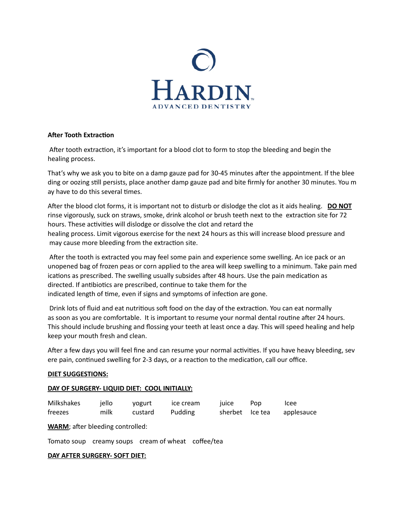

## **After Tooth Extraction**

 After tooth extraction, it's important for a blood clot to form to stop the bleeding and begin the healing process.

That's why we ask you to bite on a damp gauze pad for 30-45 minutes after the appointment. If the blee ding or oozing still persists, place another damp gauze pad and bite firmly for another 30 minutes. You m ay have to do this several times.

After the blood clot forms, it is important not to disturb or dislodge the clot as it aids healing. **DO NOT** rinse vigorously, suck on straws, smoke, drink alcohol or brush teeth next to the extraction site for 72 hours. These activities will dislodge or dissolve the clot and retard the healing process. Limit vigorous exercise for the next 24 hours as this will increase blood pressure and may cause more bleeding from the extraction site.

 After the tooth is extracted you may feel some pain and experience some swelling. An ice pack or an unopened bag of frozen peas or corn applied to the area will keep swelling to a minimum. Take pain med ications as prescribed. The swelling usually subsides after 48 hours. Use the pain medication as directed. If antibiotics are prescribed, continue to take them for the indicated length of time, even if signs and symptoms of infection are gone.

 Drink lots of fluid and eat nutritious soft food on the day of the extraction. You can eat normally as soon as you are comfortable. It is important to resume your normal dental routine after 24 hours. This should include brushing and flossing your teeth at least once a day. This will speed healing and help keep your mouth fresh and clean.

After a few days you will feel fine and can resume your normal activities. If you have heavy bleeding, sev ere pain, continued swelling for 2-3 days, or a reaction to the medication, call our office.

### **DIET SUGGESTIONS:**

### **DAY OF SURGERY- LIQUID DIET: COOL INITIALLY:**

| Milkshakes | iello | vogurt  | ice cream | <b>TUICE</b>    | Pop | Icee       |
|------------|-------|---------|-----------|-----------------|-----|------------|
| freezes    | milk  | custard | Pudding   | sherbet Ice tea |     | applesauce |

**WARM**; after bleeding controlled:

Tomato soup creamy soups cream of wheat coffee/tea

### **DAY AFTER SURGERY- SOFT DIET:**